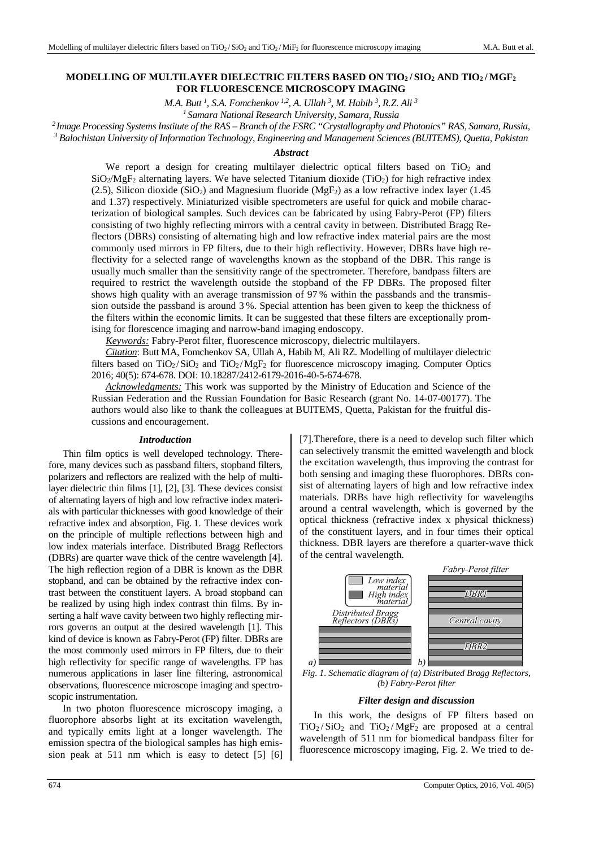## **MODELLING OF MULTILAYER DIELECTRIC FILTERS BASED ON TIO2 / SIO2 AND TIO2 / MGF<sup>2</sup> FOR FLUORESCENCE MICROSCOPY IMAGING**

*M.A. Butt <sup>1</sup> , S.A. Fomchenkov 1,2, A. Ullah <sup>3</sup> , M. Habib <sup>3</sup> , R.Z. Ali <sup>3</sup>*

*<sup>1</sup>Samara National Research University, Samara, Russia*

*<sup>2</sup>Image Processing Systems Institute оf the RAS – Branch of the FSRC "Crystallography and Photonics" RAS, Samara, Russia,* 

*3 Balochistan University of Information Technology, Engineering and Management Sciences (BUITEMS), Quetta, Pakistan* 

#### *Abstract*

We report a design for creating multilayer dielectric optical filters based on  $TiO<sub>2</sub>$  and  $SiO<sub>2</sub>/MgF<sub>2</sub>$  alternating layers. We have selected Titanium dioxide (TiO<sub>2</sub>) for high refractive index (2.5), Silicon dioxide (SiO<sub>2</sub>) and Magnesium fluoride (MgF<sub>2</sub>) as a low refractive index layer (1.45) and 1.37) respectively. Miniaturized visible spectrometers are useful for quick and mobile characterization of biological samples. Such devices can be fabricated by using Fabry-Perot (FP) filters consisting of two highly reflecting mirrors with a central cavity in between. Distributed Bragg Reflectors (DBRs) consisting of alternating high and low refractive index material pairs are the most commonly used mirrors in FP filters, due to their high reflectivity. However, DBRs have high reflectivity for a selected range of wavelengths known as the stopband of the DBR. This range is usually much smaller than the sensitivity range of the spectrometer. Therefore, bandpass filters are required to restrict the wavelength outside the stopband of the FP DBRs. The proposed filter shows high quality with an average transmission of 97 % within the passbands and the transmission outside the passband is around 3 %. Special attention has been given to keep the thickness of the filters within the economic limits. It can be suggested that these filters are exceptionally promising for florescence imaging and narrow-band imaging endoscopy.

*Keywords:* Fabry-Perot filter, fluorescence microscopy, dielectric multilayers.

*Citation*: Butt MA, Fomchenkov SA, Ullah A, Habib M, Ali RZ. Modelling of multilayer dielectric filters based on  $TiO_2/SiO_2$  and  $TiO_2/MgF_2$  for fluorescence microscopy imaging. Computer Optics 2016; 40(5): 674-678. DOI: 10.18287/2412-6179-2016-40-5-674-678.

*Acknowledgments:* This work was supported by the Ministry of Education and Science of the Russian Federation and the Russian Foundation for Basic Research (grant No. 14-07-00177). The authors would also like to thank the colleagues at BUITEMS, Quetta, Pakistan for the fruitful discussions and encouragement.

#### *Introduction*

Thin film optics is well developed technology. Therefore, many devices such as passband filters, stopband filters, polarizers and reflectors are realized with the help of multilayer dielectric thin films [1], [2], [3]. These devices consist of alternating layers of high and low refractive index materials with particular thicknesses with good knowledge of their refractive index and absorption, Fig. 1. These devices work on the principle of multiple reflections between high and low index materials interface. Distributed Bragg Reflectors (DBRs) are quarter wave thick of the centre wavelength [4]. The high reflection region of a DBR is known as the DBR stopband, and can be obtained by the refractive index contrast between the constituent layers. A broad stopband can be realized by using high index contrast thin films. By inserting a half wave cavity between two highly reflecting mirrors governs an output at the desired wavelength [1]. This kind of device is known as Fabry-Perot (FP) filter. DBRs are the most commonly used mirrors in FP filters, due to their high reflectivity for specific range of wavelengths. FP has numerous applications in laser line filtering, astronomical observations, fluorescence microscope imaging and spectroscopic instrumentation.

In two photon fluorescence microscopy imaging, a fluorophore absorbs light at its excitation wavelength, and typically emits light at a longer wavelength. The emission spectra of the biological samples has high emission peak at 511 nm which is easy to detect [5] [6] [7].Therefore, there is a need to develop such filter which can selectively transmit the emitted wavelength and block the excitation wavelength, thus improving the contrast for both sensing and imaging these fluorophores. DBRs consist of alternating layers of high and low refractive index materials. DRBs have high reflectivity for wavelengths around a central wavelength, which is governed by the optical thickness (refractive index x physical thickness) of the constituent layers, and in four times their optical thickness. DBR layers are therefore a quarter-wave thick of the central wavelength.



*Fig. 1. Schematic diagram of (a) Distributed Bragg Reflectors, (b) Fabry-Perot filter* 

#### *Filter design and discussion*

In this work, the designs of FP filters based on  $TiO<sub>2</sub>/SiO<sub>2</sub>$  and  $TiO<sub>2</sub>/MgF<sub>2</sub>$  are proposed at a central wavelength of 511 nm for biomedical bandpass filter for fluorescence microscopy imaging, Fig. 2. We tried to de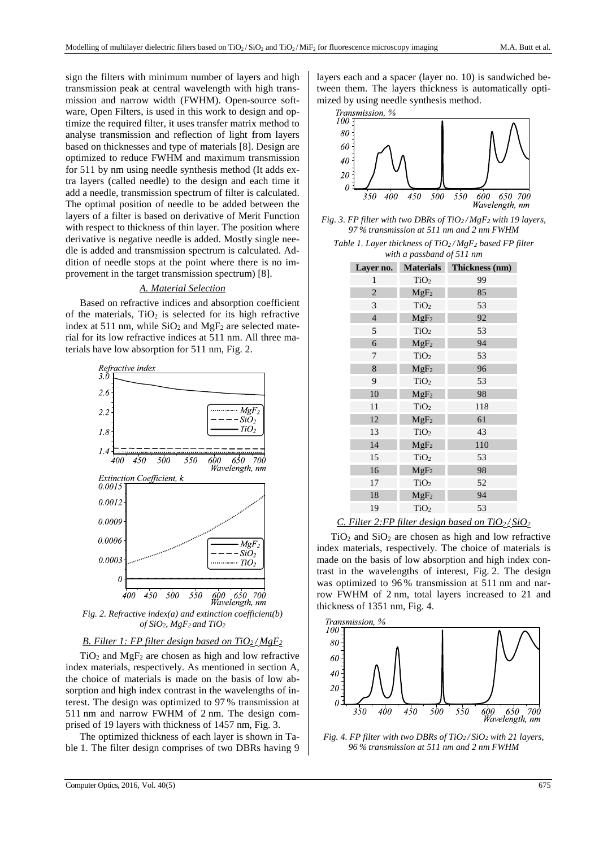sign the filters with minimum number of layers and high transmission peak at central wavelength with high transmission and narrow width (FWHM). Open-source software, Open Filters, is used in this work to design and optimize the required filter, it uses transfer matrix method to analyse transmission and reflection of light from layers based on thicknesses and type of materials [8]. Design are optimized to reduce FWHM and maximum transmission for 511 by nm using needle synthesis method (It adds extra layers (called needle) to the design and each time it add a needle, transmission spectrum of filter is calculated. The optimal position of needle to be added between the layers of a filter is based on derivative of Merit Function with respect to thickness of thin layer. The position where derivative is negative needle is added. Mostly single needle is added and transmission spectrum is calculated. Addition of needle stops at the point where there is no improvement in the target transmission spectrum) [8].

## *A. Material Selection*

Based on refractive indices and absorption coefficient of the materials,  $TiO<sub>2</sub>$  is selected for its high refractive index at 511 nm, while  $SiO<sub>2</sub>$  and MgF<sub>2</sub> are selected material for its low refractive indices at 511 nm. All three materials have low absorption for 511 nm, Fig. 2.



*Fig. 2. Refractive index(a) and extinction coefficient(b) of SiO2, MgF2 and TiO<sup>2</sup>*

# *B. Filter 1: FP filter design based on TiO2 / MgF<sup>2</sup>*

 $TiO<sub>2</sub>$  and  $MgF<sub>2</sub>$  are chosen as high and low refractive index materials, respectively. As mentioned in section A, the choice of materials is made on the basis of low absorption and high index contrast in the wavelengths of interest. The design was optimized to 97 % transmission at 511 nm and narrow FWHM of 2 nm. The design comprised of 19 layers with thickness of 1457 nm, Fig. 3.

The optimized thickness of each layer is shown in Table 1. The filter design comprises of two DBRs having 9 layers each and a spacer (layer no. 10) is sandwiched between them. The layers thickness is automatically optimized by using needle synthesis method.



*Fig. 3. FP filter with two DBRs of TiO2 / MgF2 with 19 layers, 97 % transmission at 511 nm and 2 nm FWHM* 

*Table 1. Layer thickness of TiO2 / MgF2 based FP filter with a passband of 511 nm* 

| Layer no.      | <b>Materials</b> | Thickness (nm) |
|----------------|------------------|----------------|
| 1              | TiO <sub>2</sub> | 99             |
| $\overline{2}$ | $MgF_2$          | 85             |
| 3              | TiO <sub>2</sub> | 53             |
| $\overline{4}$ | $MgF_2$          | 92             |
| 5              | TiO <sub>2</sub> | 53             |
| 6              | MgF <sub>2</sub> | 94             |
| 7              | TiO <sub>2</sub> | 53             |
| 8              | MgF <sub>2</sub> | 96             |
| 9              | TiO <sub>2</sub> | 53             |
| 10             | MgF <sub>2</sub> | 98             |
| 11             | TiO <sub>2</sub> | 118            |
| 12             | $MgF_2$          | 61             |
| 13             | TiO <sub>2</sub> | 43             |
| 14             | MgF <sub>2</sub> | 110            |
| 15             | TiO <sub>2</sub> | 53             |
| 16             | MgF <sub>2</sub> | 98             |
| 17             | TiO <sub>2</sub> | 52             |
| 18             | MgF <sub>2</sub> | 94             |
| 19             | TiO <sub>2</sub> | 53             |

## *C. Filter 2:FP filter design based on*  $TiO<sub>2</sub>/SiO<sub>2</sub>$

 $TiO<sub>2</sub>$  and  $SiO<sub>2</sub>$  are chosen as high and low refractive index materials, respectively. The choice of materials is made on the basis of low absorption and high index contrast in the wavelengths of interest, Fig. 2. The design was optimized to 96 % transmission at 511 nm and narrow FWHM of 2 nm, total layers increased to 21 and thickness of 1351 nm, Fig. 4.



*Fig. 4. FP filter with two DBRs of TiO2 / SiO2 with 21 layers, 96 % transmission at 511 nm and 2 nm FWHM*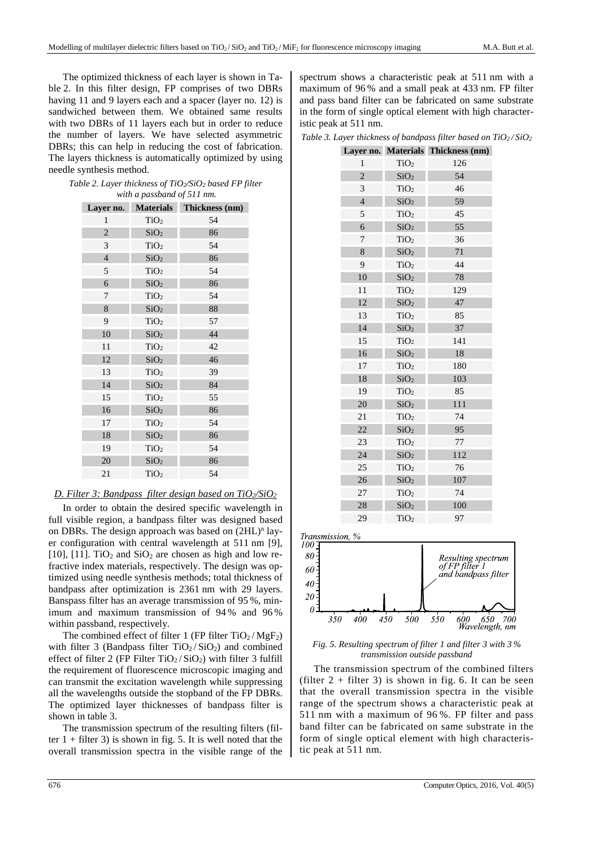The optimized thickness of each layer is shown in Table 2. In this filter design, FP comprises of two DBRs having 11 and 9 layers each and a spacer (layer no. 12) is sandwiched between them. We obtained same results with two DBRs of 11 layers each but in order to reduce the number of layers. We have selected asymmetric DBRs; this can help in reducing the cost of fabrication. The layers thickness is automatically optimized by using needle synthesis method.

| Table 2. Layer thickness of TiO2/SiO2 based FP filter |
|-------------------------------------------------------|
| with a passband of 511 nm.                            |

| Layer no.      | <b>Materials</b> | Thickness (nm) |
|----------------|------------------|----------------|
| $\mathbf{1}$   | TiO <sub>2</sub> | 54             |
| $\overline{c}$ | SiO <sub>2</sub> | 86             |
| 3              | TiO <sub>2</sub> | 54             |
| $\overline{4}$ | SiO <sub>2</sub> | 86             |
| 5              | TiO <sub>2</sub> | 54             |
| 6              | SiO <sub>2</sub> | 86             |
| 7              | TiO <sub>2</sub> | 54             |
| 8              | SiO <sub>2</sub> | 88             |
| 9              | TiO <sub>2</sub> | 57             |
| 10             | SiO <sub>2</sub> | 44             |
| 11             | TiO <sub>2</sub> | 42             |
| 12             | SiO <sub>2</sub> | 46             |
| 13             | TiO <sub>2</sub> | 39             |
| 14             | SiO <sub>2</sub> | 84             |
| 15             | TiO <sub>2</sub> | 55             |
| 16             | SiO <sub>2</sub> | 86             |
| 17             | TiO <sub>2</sub> | 54             |
| 18             | SiO <sub>2</sub> | 86             |
| 19             | TiO <sub>2</sub> | 54             |
| 20             | SiO <sub>2</sub> | 86             |
| 21             | TiO <sub>2</sub> | 54             |

# *D. Filter 3: Bandpass filter design based on TiO2/SiO<sup>2</sup>*

In order to obtain the desired specific wavelength in full visible region, a bandpass filter was designed based on DBRs. The design approach was based on  $(2HL)^n$  layer configuration with central wavelength at 511 nm [9], [10], [11]. TiO<sub>2</sub> and  $SiO<sub>2</sub>$  are chosen as high and low refractive index materials, respectively. The design was optimized using needle synthesis methods; total thickness of bandpass after optimization is 2361 nm with 29 layers. Banspass filter has an average transmission of 95 %, minimum and maximum transmission of 94 % and 96 % within passband, respectively.

The combined effect of filter 1 (FP filter  $TiO_2 / MgF_2$ ) with filter 3 (Bandpass filter  $TiO<sub>2</sub>/SiO<sub>2</sub>$ ) and combined effect of filter 2 (FP Filter TiO<sub>2</sub>/SiO<sub>2</sub>) with filter 3 fulfill the requirement of fluorescence microscopic imaging and can transmit the excitation wavelength while suppressing all the wavelengths outside the stopband of the FP DBRs. The optimized layer thicknesses of bandpass filter is shown in table 3.

The transmission spectrum of the resulting filters (filter  $1 +$  filter 3) is shown in fig. 5. It is well noted that the overall transmission spectra in the visible range of the spectrum shows a characteristic peak at 511 nm with a maximum of 96 % and a small peak at 433 nm. FP filter and pass band filter can be fabricated on same substrate in the form of single optical element with high characteristic peak at 511 nm.

*Table 3. Layer thickness of bandpass filter based on*  $TiO<sub>2</sub>/SiO<sub>2</sub>$ 

| Layer no.      | <b>Materials</b> | Thickness (nm) |
|----------------|------------------|----------------|
| 1              | TiO <sub>2</sub> | 126            |
| $\overline{c}$ | SiO <sub>2</sub> | 54             |
| 3              | TiO <sub>2</sub> | 46             |
| $\overline{4}$ | SiO <sub>2</sub> | 59             |
| 5              | TiO <sub>2</sub> | 45             |
| 6              | SiO <sub>2</sub> | 55             |
| 7              | TiO <sub>2</sub> | 36             |
| 8              | SiO <sub>2</sub> | 71             |
| 9              | TiO <sub>2</sub> | 44             |
| 10             | SiO <sub>2</sub> | 78             |
| 11             | TiO <sub>2</sub> | 129            |
| 12             | SiO <sub>2</sub> | 47             |
| 13             | TiO <sub>2</sub> | 85             |
| 14             | SiO <sub>2</sub> | 37             |
| 15             | TiO <sub>2</sub> | 141            |
| 16             | SiO <sub>2</sub> | 18             |
| 17             | TiO <sub>2</sub> | 180            |
| 18             | SiO <sub>2</sub> | 103            |
| 19             | TiO <sub>2</sub> | 85             |
| 20             | SiO <sub>2</sub> | 111            |
| 21             | TiO <sub>2</sub> | 74             |
| 22             | SiO <sub>2</sub> | 95             |
| 23             | TiO <sub>2</sub> | 77             |
| 24             | SiO <sub>2</sub> | 112            |
| 25             | TiO <sub>2</sub> | 76             |
| 26             | SiO <sub>2</sub> | 107            |
| 27             | TiO <sub>2</sub> | 74             |
| 28             | SiO <sub>2</sub> | 100            |
| 29             | TiO <sub>2</sub> | 97             |

Transmission, %



*Fig. 5. Resulting spectrum of filter 1 and filter 3 with 3 % transmission outside passband* 

The transmission spectrum of the combined filters (filter  $2 +$  filter 3) is shown in fig. 6. It can be seen that the overall transmission spectra in the visible range of the spectrum shows a characteristic peak at 511 nm with a maximum of 96 %. FP filter and pass band filter can be fabricated on same substrate in the form of single optical element with high characteristic peak at 511 nm.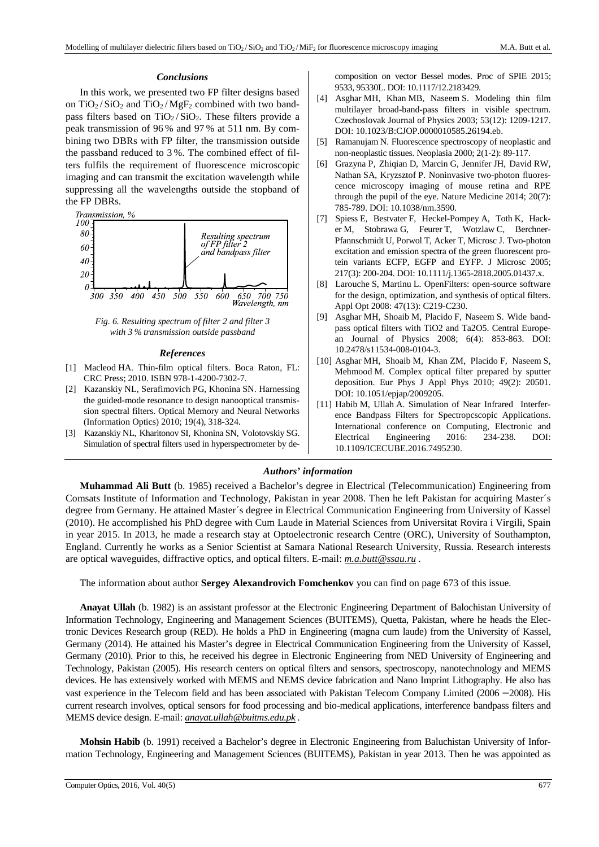# *Conclusions*

In this work, we presented two FP filter designs based on  $TiO<sub>2</sub>/SiO<sub>2</sub>$  and  $TiO<sub>2</sub>/MgF<sub>2</sub>$  combined with two bandpass filters based on  $TiO<sub>2</sub>/SiO<sub>2</sub>$ . These filters provide a peak transmission of 96 % and 97 % at 511 nm. By combining two DBRs with FP filter, the transmission outside the passband reduced to 3 %. The combined effect of filters fulfils the requirement of fluorescence microscopic imaging and can transmit the excitation wavelength while suppressing all the wavelengths outside the stopband of the FP DBRs.



*with 3 % transmission outside passband* 

# *References*

- [1] Macleod HA. Thin-film optical filters. Boca Raton, FL: CRC Press; 2010. ISBN 978-1-4200-7302-7.
- [2] Kazanskiy NL, Serafimovich PG, Khonina SN. Harnessing the guided-mode resonance to design nanooptical transmission spectral filters. Optical Memory and Neural Networks (Information Optics) 2010; 19(4), 318-324.
- [3] Kazanskiy NL, Kharitonov SI, Khonina SN, Volotovskiy SG. Simulation of spectral filters used in hyperspectrometer by de-

composition on vector Bessel modes. Proc of SPIE 2015; 9533, 95330L. DOI: 10.1117/12.2183429.

- [4] Asghar MH, Khan MB, Naseem S. Modeling thin film multilayer broad-band-pass filters in visible spectrum. Czechoslovak Journal of Physics 2003; 53(12): 1209-1217. DOI: 10.1023/B:CJOP.0000010585.26194.eb.
- [5] Ramanujam N. Fluorescence spectroscopy of neoplastic and non-neoplastic tissues. Neoplasia 2000; 2(1-2): 89-117.
- [6] Grazyna P, Zhiqian D, Marcin G, Jennifer JH, David RW, Nathan SA, Kryzsztof P. Noninvasive two-photon fluorescence microscopy imaging of mouse retina and RPE through the pupil of the eye. Nature Medicine 2014; 20(7): 785-789. DOI: 10.1038/nm.3590.
- [7] Spiess E, Bestvater F, Heckel-Pompey A, Toth K, Hacker M, Stobrawa G, Feurer T, Wotzlaw C, Berchner-Pfannschmidt U, Porwol T, Acker T, Microsc J. Two-photon excitation and emission spectra of the green fluorescent protein variants ECFP, EGFP and EYFP. J Microsc 2005; 217(3): 200-204. DOI: 10.1111/j.1365-2818.2005.01437.x.
- [8] Larouche S, Martinu L. OpenFilters: open-source software for the design, optimization, and synthesis of optical filters. Appl Opt 2008: 47(13): C219-C230.
- [9] Asghar MH, Shoaib M, Placido F, Naseem S. Wide bandpass optical filters with TiO2 and Ta2O5. Central European Journal of Physics 2008; 6(4): 853-863. DOI: 10.2478/s11534-008-0104-3.
- [10] Asghar MH, Shoaib M, Khan ZM, Placido F, Naseem S, Mehmood M. Complex optical filter prepared by sputter deposition. Eur Phys J Appl Phys 2010; 49(2): 20501. DOI: 10.1051/epjap/2009205.
- [11] Habib M, Ullah A. Simulation of Near Infrared Interference Bandpass Filters for Spectropcscopic Applications. International conference on Computing, Electronic and Electrical Engineering 2016: 234-238. DOI: 10.1109/ICECUBE.2016.7495230.

# *Authors' information*

**Muhammad Ali Butt** (b. 1985) received a Bachelor's degree in Electrical (Telecommunication) Engineering from Comsats Institute of Information and Technology, Pakistan in year 2008. Then he left Pakistan for acquiring Master´s degree from Germany. He attained Master´s degree in Electrical Communication Engineering from University of Kassel (2010). He accomplished his PhD degree with Cum Laude in Material Sciences from Universitat Rovira i Virgili, Spain in year 2015. In 2013, he made a research stay at Optoelectronic research Centre (ORC), University of Southampton, England. Currently he works as a Senior Scientist at Samara National Research University, Russia. Research interests are optical waveguides, diffractive optics, and optical filters. E-mail: *m.a.butt@ssau.ru .* 

The information about author **Sergey Alexandrovich Fomchenkov** you can find on page 673 of this issue*.* 

**Anayat Ullah** (b. 1982) is an assistant professor at the Electronic Engineering Department of Balochistan University of Information Technology, Engineering and Management Sciences (BUITEMS), Quetta, Pakistan, where he heads the Electronic Devices Research group (RED). He holds a PhD in Engineering (magna cum laude) from the University of Kassel, Germany (2014). He attained his Master's degree in Electrical Communication Engineering from the University of Kassel, Germany (2010). Prior to this, he received his degree in Electronic Engineering from NED University of Engineering and Technology, Pakistan (2005). His research centers on optical filters and sensors, spectroscopy, nanotechnology and MEMS devices. He has extensively worked with MEMS and NEMS device fabrication and Nano Imprint Lithography. He also has vast experience in the Telecom field and has been associated with Pakistan Telecom Company Limited (2006 − 2008). His current research involves, optical sensors for food processing and bio-medical applications, interference bandpass filters and MEMS device design. E-mail: *anayat.ullah@buitms.edu.pk .*

**Mohsin Habib** (b. 1991) received a Bachelor's degree in Electronic Engineering from Baluchistan University of Information Technology, Engineering and Management Sciences (BUITEMS), Pakistan in year 2013. Then he was appointed as